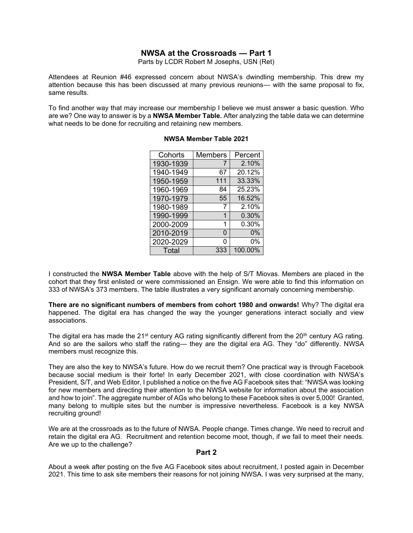## **NWSA at the Crossroads — Part 1**

Parts by LCDR Robert M Josephs, USN (Ret)

Attendees at Reunion #46 expressed concern about NWSA's dwindling membership. This drew my attention because this has been discussed at many previous reunions— with the same proposal to fix, same results.

To find another way that may increase our membership I believe we must answer a basic question. Who are we? One way to answer is by a **NWSA Member Table***.* After analyzing the table data we can determine what needs to be done for recruiting and retaining new members.

| Cohorts   | <b>Members</b> | Percent |
|-----------|----------------|---------|
| 1930-1939 | 7              | 2.10%   |
| 1940-1949 | 67             | 20.12%  |
| 1950-1959 | 111            | 33.33%  |
| 1960-1969 | 84             | 25.23%  |
| 1970-1979 | 55             | 16.52%  |
| 1980-1989 | 7              | 2.10%   |
| 1990-1999 | 1              | 0.30%   |
| 2000-2009 | 1              | 0.30%   |
| 2010-2019 | 0              | 0%      |
| 2020-2029 | 0              | 0%      |
| Total     | 333            | 100.00% |

## **NWSA Member Table 2021**

I constructed the **NWSA Member Table** above with the help of S/T Miovas. Members are placed in the cohort that they first enlisted or were commissioned an Ensign. We were able to find this information on 333 of NWSA's 373 members. The table illustrates a very significant anomaly concerning membership.

**There are no significant numbers of members from cohort 1980 and onwards!** Why? The digital era happened. The digital era has changed the way the younger generations interact socially and view associations.

The digital era has made the 21<sup>st</sup> century AG rating significantly different from the 20<sup>th</sup> century AG rating. And so are the sailors who staff the rating— they are the digital era AG. They "do" differently. NWSA members must recognize this.

They are also the key to NWSA's future. How do we recruit them? One practical way is through Facebook because social medium is their forte! In early December 2021, with close coordination with NWSA's President, S/T, and Web Editor, I published a notice on the five AG Facebook sites that: "NWSA was looking for new members and directing their attention to the NWSA website for information about the association and how to join". The aggregate number of AGs who belong to these Facebook sites is over 5,000! Granted, many belong to multiple sites but the number is impressive nevertheless. Facebook is a key NWSA recruiting ground!

We are at the crossroads as to the future of NWSA. People change. Times change. We need to recruit and retain the digital era AG. Recruitment and retention become moot, though, if we fail to meet their needs. Are we up to the challenge?

## **Part 2**

About a week after posting on the five AG Facebook sites about recruitment, I posted again in December 2021. This time to ask site members their reasons for not joining NWSA. I was very surprised at the many,